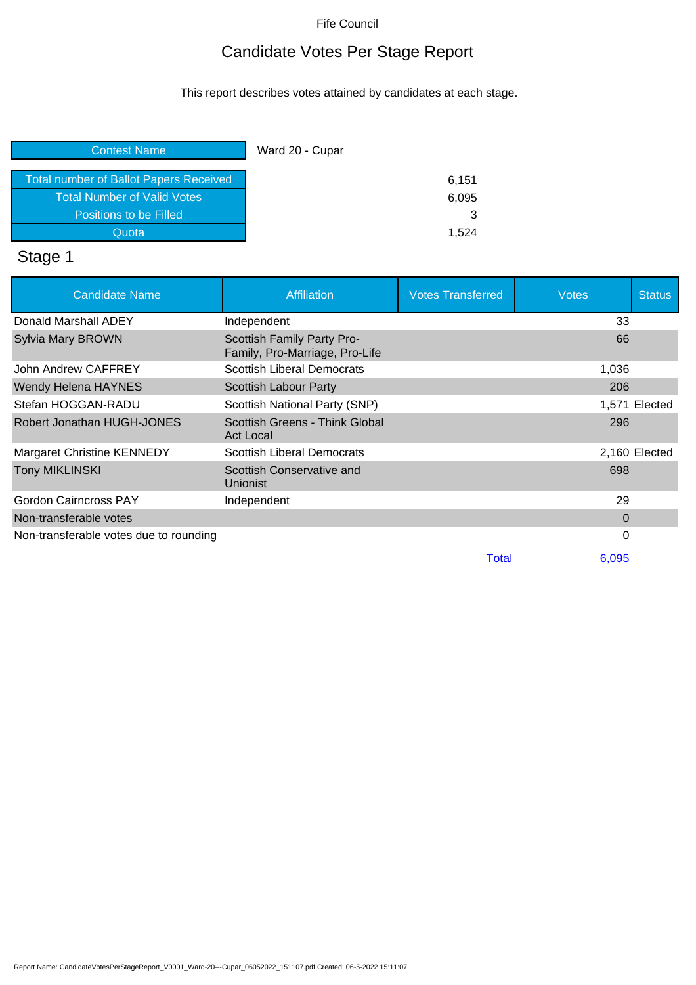## Candidate Votes Per Stage Report

This report describes votes attained by candidates at each stage.

| <b>Contest Name</b>                           | Ward 20 - Cupar |
|-----------------------------------------------|-----------------|
| <b>Total number of Ballot Papers Received</b> | 6,151           |
| <b>Total Number of Valid Votes</b>            | 6,095           |
| Positions to be Filled                        |                 |
| Quota                                         | 1.524           |

# Stage 1

| <b>Candidate Name</b>                  | <b>Affiliation</b>                                           | <b>Votes Transferred</b> | <b>Votes</b> | <b>Status</b> |
|----------------------------------------|--------------------------------------------------------------|--------------------------|--------------|---------------|
| Donald Marshall ADEY                   | Independent                                                  |                          | 33           |               |
| <b>Sylvia Mary BROWN</b>               | Scottish Family Party Pro-<br>Family, Pro-Marriage, Pro-Life |                          | 66           |               |
| John Andrew CAFFREY                    | <b>Scottish Liberal Democrats</b>                            |                          | 1,036        |               |
| Wendy Helena HAYNES                    | Scottish Labour Party                                        |                          | 206          |               |
| Stefan HOGGAN-RADU                     | Scottish National Party (SNP)                                |                          |              | 1,571 Elected |
| Robert Jonathan HUGH-JONES             | Scottish Greens - Think Global<br><b>Act Local</b>           |                          | 296          |               |
| <b>Margaret Christine KENNEDY</b>      | <b>Scottish Liberal Democrats</b>                            |                          |              | 2,160 Elected |
| <b>Tony MIKLINSKI</b>                  | Scottish Conservative and<br>Unionist                        |                          | 698          |               |
| <b>Gordon Cairncross PAY</b>           | Independent                                                  |                          | 29           |               |
| Non-transferable votes                 |                                                              |                          | $\Omega$     |               |
| Non-transferable votes due to rounding |                                                              |                          | 0            |               |
|                                        |                                                              | Total                    | 6.095        |               |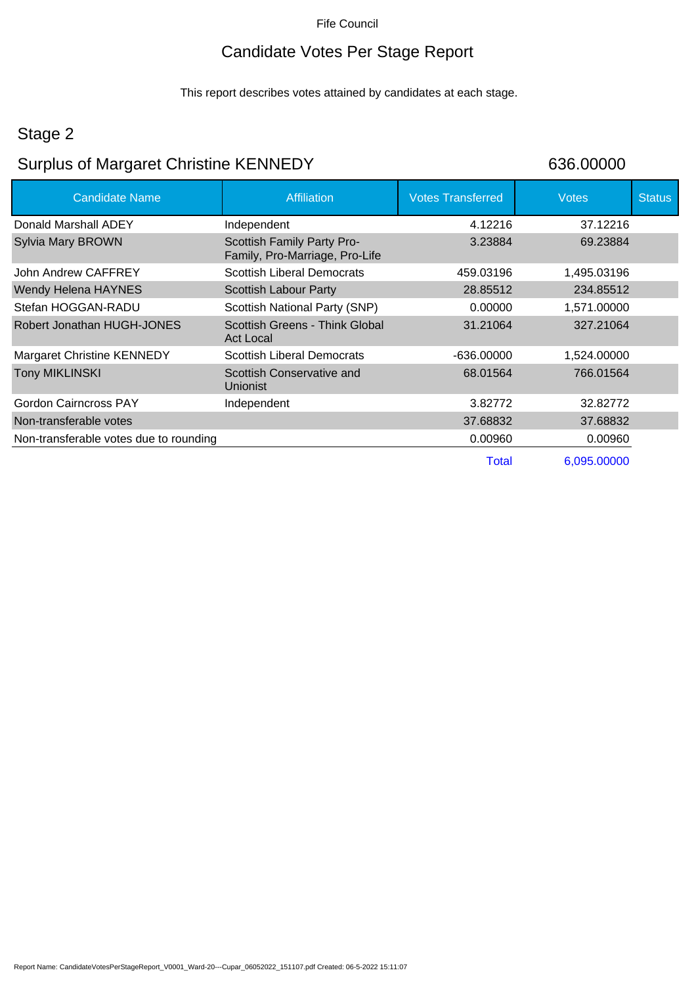#### Candidate Votes Per Stage Report

This report describes votes attained by candidates at each stage.

#### Stage 2

#### Surplus of Margaret Christine KENNEDY 636.00000

Candidate Name **Affiliation** Affiliation **Votes Transferred** Votes Votes Status Donald Marshall ADEY **Independent** 1.12216 4.12216 Sylvia Mary BROWN Scottish Family Party Pro-Family, Pro-Marriage, Pro-Life 3.23884 69.23884 John Andrew CAFFREY Scottish Liberal Democrats 459.03196 1.495.03196 Wendy Helena HAYNES Scottish Labour Party 28.85512 234.85512 Stefan HOGGAN-RADU Scottish National Party (SNP) 0.00000 1,571.00000 Robert Jonathan HUGH-JONES Scottish Greens - Think Global Act Local 31.21064 327.21064 Margaret Christine KENNEDY Scottish Liberal Democrats -636.00000 1,524.00000 Tony MIKLINSKI Scottish Conservative and Unionist 68.01564 766.01564 Gordon Cairncross PAY **Independent** 1.5 and 3.82772 32.82772 Non-transferable votes 37.68832 37.68832 Non-transferable votes due to rounding 0.000 0.00960 0.00960 0.00960 0.00960 Total 6,095.00000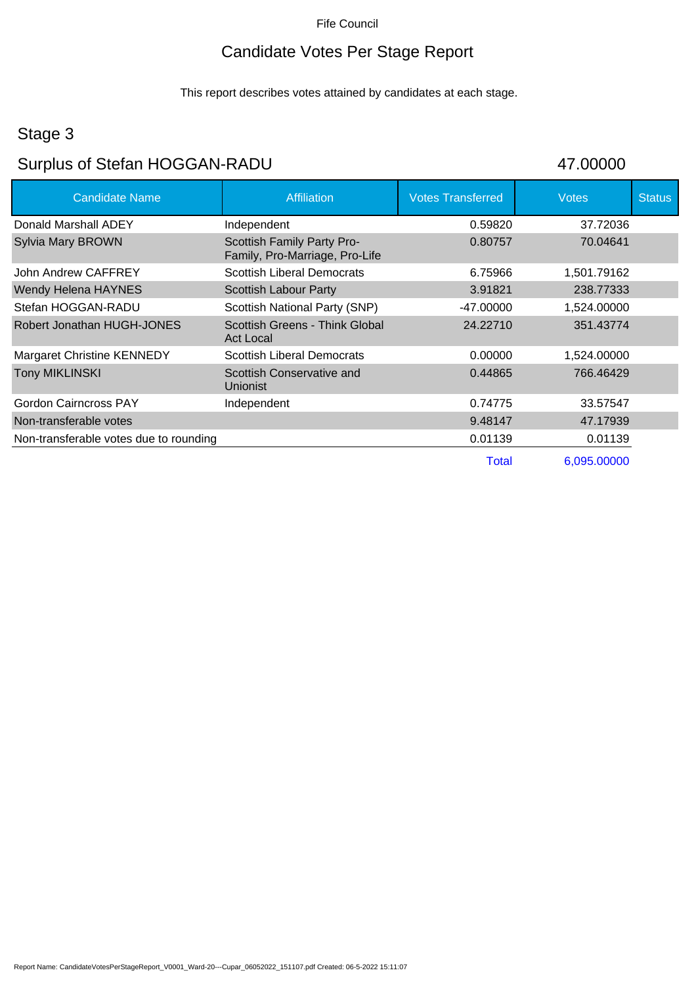## Candidate Votes Per Stage Report

This report describes votes attained by candidates at each stage.

### Stage 3

# Surplus of Stefan HOGGAN-RADU 47.00000

| <b>Candidate Name</b>                  | <b>Affiliation</b>                                           | <b>Votes Transferred</b> | <b>Votes</b> | <b>Status</b> |
|----------------------------------------|--------------------------------------------------------------|--------------------------|--------------|---------------|
| Donald Marshall ADEY                   | Independent                                                  | 0.59820                  | 37.72036     |               |
| <b>Sylvia Mary BROWN</b>               | Scottish Family Party Pro-<br>Family, Pro-Marriage, Pro-Life | 0.80757                  | 70.04641     |               |
| John Andrew CAFFREY                    | <b>Scottish Liberal Democrats</b>                            | 6.75966                  | 1,501.79162  |               |
| <b>Wendy Helena HAYNES</b>             | <b>Scottish Labour Party</b>                                 | 3.91821                  | 238.77333    |               |
| Stefan HOGGAN-RADU                     | Scottish National Party (SNP)                                | -47.00000                | 1,524.00000  |               |
| Robert Jonathan HUGH-JONES             | Scottish Greens - Think Global<br><b>Act Local</b>           | 24.22710                 | 351.43774    |               |
| <b>Margaret Christine KENNEDY</b>      | <b>Scottish Liberal Democrats</b>                            | 0.00000                  | 1,524.00000  |               |
| <b>Tony MIKLINSKI</b>                  | Scottish Conservative and<br><b>Unionist</b>                 | 0.44865                  | 766.46429    |               |
| <b>Gordon Cairncross PAY</b>           | Independent                                                  | 0.74775                  | 33.57547     |               |
| Non-transferable votes                 |                                                              | 9.48147                  | 47.17939     |               |
| Non-transferable votes due to rounding |                                                              | 0.01139                  | 0.01139      |               |
|                                        |                                                              | Total                    | 6,095.00000  |               |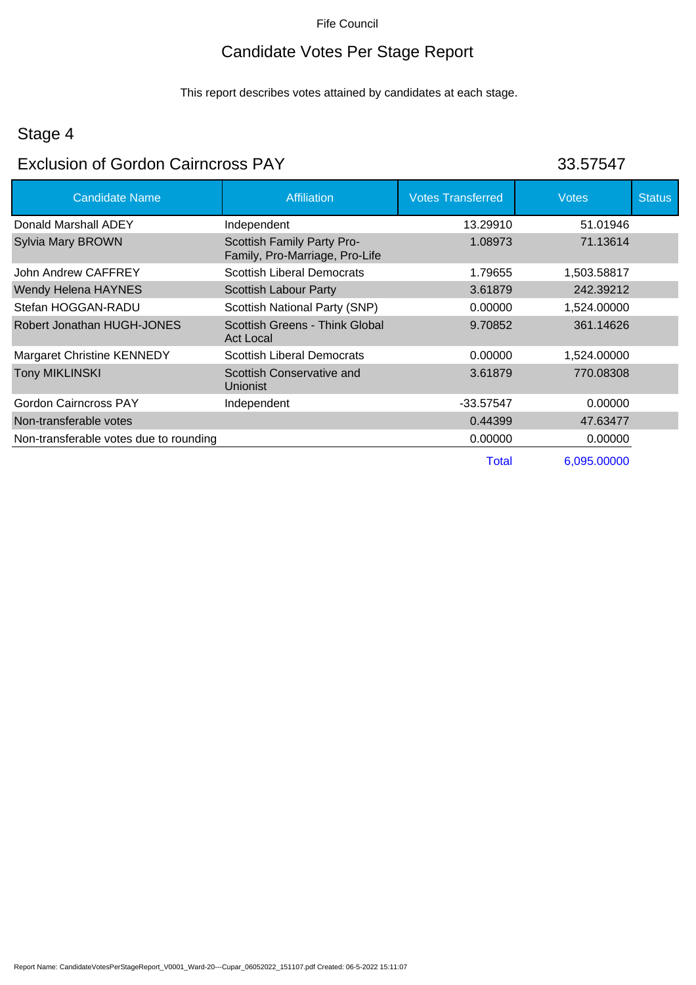## Candidate Votes Per Stage Report

This report describes votes attained by candidates at each stage.

## Stage 4

### Exclusion of Gordon Cairncross PAY

| 33.57547 |  |
|----------|--|
|          |  |

| <b>Candidate Name</b>                  | <b>Affiliation</b>                                           | <b>Votes Transferred</b> | <b>Votes</b> | <b>Status</b> |
|----------------------------------------|--------------------------------------------------------------|--------------------------|--------------|---------------|
| Donald Marshall ADEY                   | Independent                                                  | 13.29910                 | 51.01946     |               |
| Sylvia Mary BROWN                      | Scottish Family Party Pro-<br>Family, Pro-Marriage, Pro-Life | 1.08973                  | 71.13614     |               |
| John Andrew CAFFREY                    | <b>Scottish Liberal Democrats</b>                            | 1.79655                  | 1,503.58817  |               |
| Wendy Helena HAYNES                    | <b>Scottish Labour Party</b>                                 | 3.61879                  | 242.39212    |               |
| Stefan HOGGAN-RADU                     | Scottish National Party (SNP)                                | 0.00000                  | 1,524.00000  |               |
| Robert Jonathan HUGH-JONES             | Scottish Greens - Think Global<br><b>Act Local</b>           | 9.70852                  | 361.14626    |               |
| <b>Margaret Christine KENNEDY</b>      | <b>Scottish Liberal Democrats</b>                            | 0.00000                  | 1,524.00000  |               |
| <b>Tony MIKLINSKI</b>                  | Scottish Conservative and<br>Unionist                        | 3.61879                  | 770.08308    |               |
| <b>Gordon Cairncross PAY</b>           | Independent                                                  | $-33.57547$              | 0.00000      |               |
| Non-transferable votes                 |                                                              | 0.44399                  | 47.63477     |               |
| Non-transferable votes due to rounding |                                                              | 0.00000                  | 0.00000      |               |
|                                        |                                                              | Total                    | 6,095.00000  |               |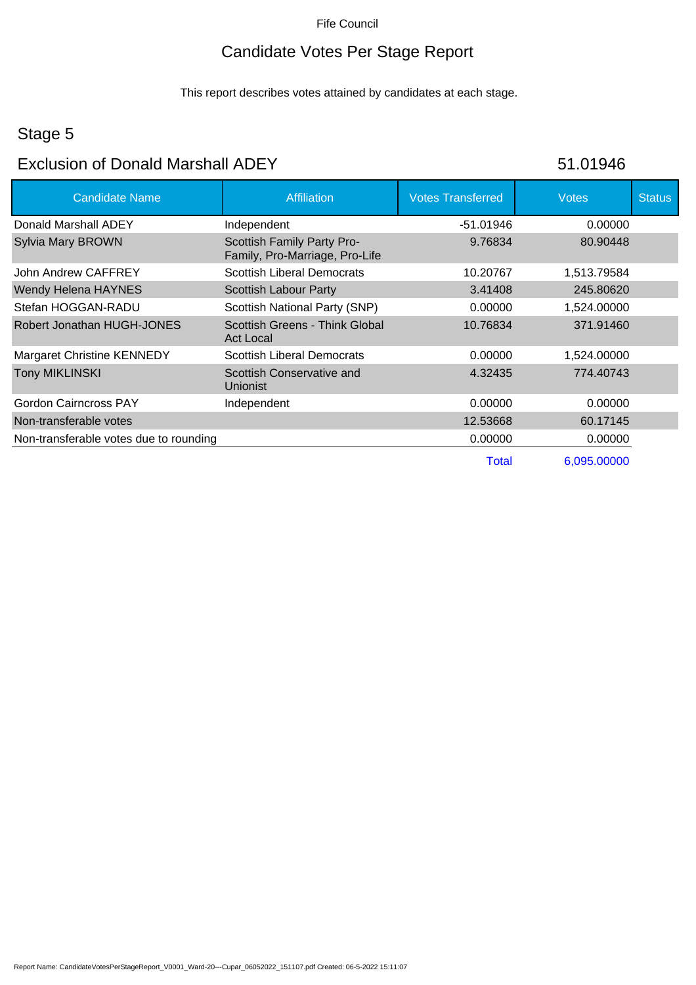## Candidate Votes Per Stage Report

This report describes votes attained by candidates at each stage.

## Stage 5

#### Exclusion of Donald Marshall ADEY

| 51.01946 |  |
|----------|--|
|          |  |

| <b>Candidate Name</b>                  | <b>Affiliation</b>                                           | <b>Votes Transferred</b> | <b>Votes</b> | <b>Status</b> |
|----------------------------------------|--------------------------------------------------------------|--------------------------|--------------|---------------|
| Donald Marshall ADEY                   | Independent                                                  | -51.01946                | 0.00000      |               |
| Sylvia Mary BROWN                      | Scottish Family Party Pro-<br>Family, Pro-Marriage, Pro-Life | 9.76834                  | 80.90448     |               |
| John Andrew CAFFREY                    | <b>Scottish Liberal Democrats</b>                            | 10.20767                 | 1,513.79584  |               |
| Wendy Helena HAYNES                    | Scottish Labour Party                                        | 3.41408                  | 245.80620    |               |
| Stefan HOGGAN-RADU                     | Scottish National Party (SNP)                                | 0.00000                  | 1,524.00000  |               |
| Robert Jonathan HUGH-JONES             | Scottish Greens - Think Global<br><b>Act Local</b>           | 10.76834                 | 371.91460    |               |
| <b>Margaret Christine KENNEDY</b>      | <b>Scottish Liberal Democrats</b>                            | 0.00000                  | 1,524.00000  |               |
| <b>Tony MIKLINSKI</b>                  | Scottish Conservative and<br><b>Unionist</b>                 | 4.32435                  | 774.40743    |               |
| <b>Gordon Cairncross PAY</b>           | Independent                                                  | 0.00000                  | 0.00000      |               |
| Non-transferable votes                 |                                                              | 12.53668                 | 60.17145     |               |
| Non-transferable votes due to rounding |                                                              | 0.00000                  | 0.00000      |               |
|                                        |                                                              | Total                    | 6,095.00000  |               |